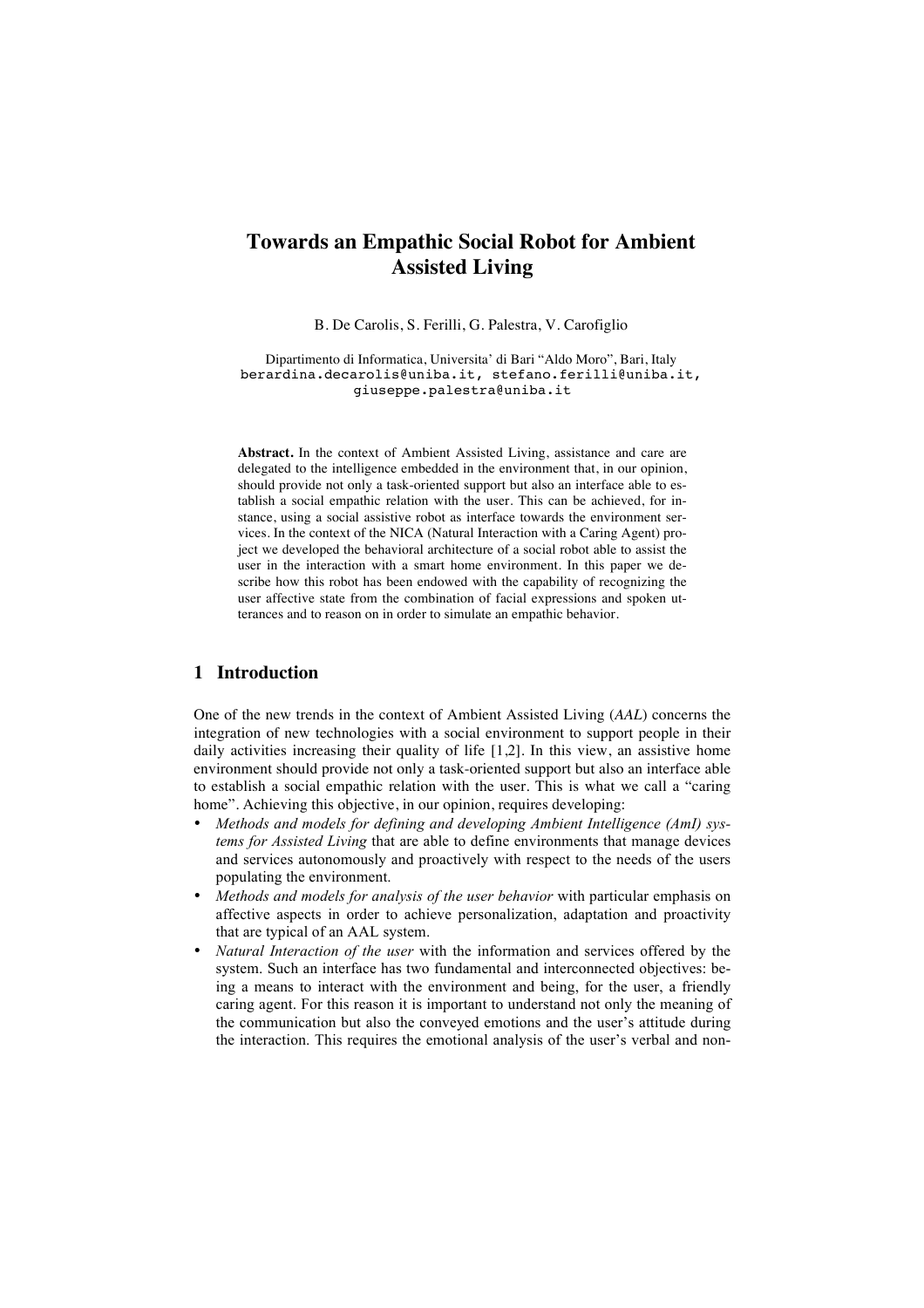# **Towards an Empathic Social Robot for Ambient Assisted Living**

B. De Carolis, S. Ferilli, G. Palestra, V. Carofiglio

Dipartimento di Informatica, Universita' di Bari "Aldo Moro", Bari, Italy berardina.decarolis@uniba.it, stefano.ferilli@uniba.it, giuseppe.palestra@uniba.it

**Abstract.** In the context of Ambient Assisted Living, assistance and care are delegated to the intelligence embedded in the environment that, in our opinion, should provide not only a task-oriented support but also an interface able to establish a social empathic relation with the user. This can be achieved, for instance, using a social assistive robot as interface towards the environment services. In the context of the NICA (Natural Interaction with a Caring Agent) project we developed the behavioral architecture of a social robot able to assist the user in the interaction with a smart home environment. In this paper we describe how this robot has been endowed with the capability of recognizing the user affective state from the combination of facial expressions and spoken utterances and to reason on in order to simulate an empathic behavior.

## **1 Introduction**

One of the new trends in the context of Ambient Assisted Living (*AAL*) concerns the integration of new technologies with a social environment to support people in their daily activities increasing their quality of life [1,2]. In this view, an assistive home environment should provide not only a task-oriented support but also an interface able to establish a social empathic relation with the user. This is what we call a "caring home". Achieving this objective, in our opinion, requires developing:

- *Methods and models for defining and developing Ambient Intelligence (AmI) systems for Assisted Living* that are able to define environments that manage devices and services autonomously and proactively with respect to the needs of the users populating the environment.
- *Methods and models for analysis of the user behavior* with particular emphasis on affective aspects in order to achieve personalization, adaptation and proactivity that are typical of an AAL system.
- *Natural Interaction of the user* with the information and services offered by the system. Such an interface has two fundamental and interconnected objectives: being a means to interact with the environment and being, for the user, a friendly caring agent. For this reason it is important to understand not only the meaning of the communication but also the conveyed emotions and the user's attitude during the interaction. This requires the emotional analysis of the user's verbal and non-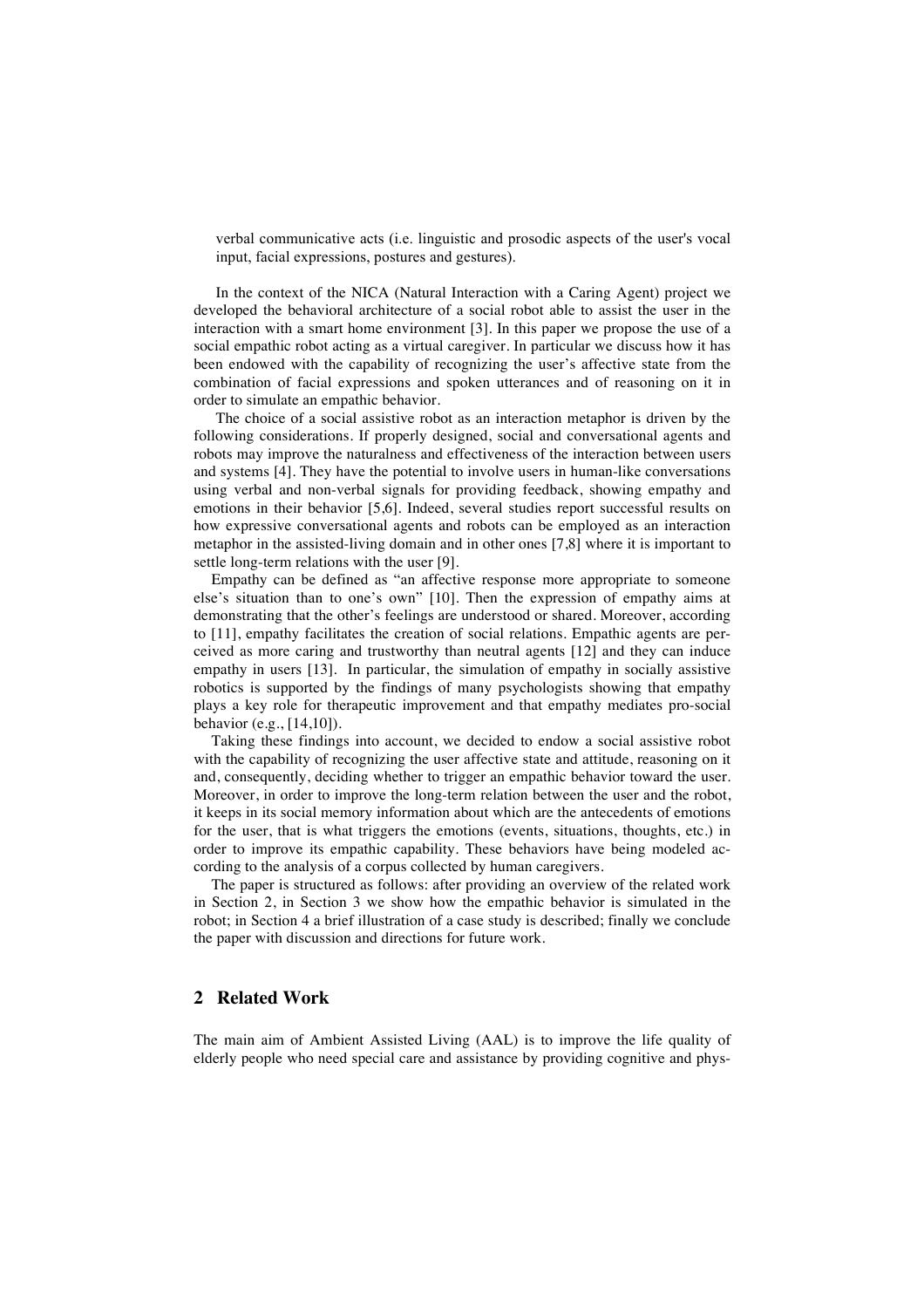verbal communicative acts (i.e. linguistic and prosodic aspects of the user's vocal input, facial expressions, postures and gestures).

In the context of the NICA (Natural Interaction with a Caring Agent) project we developed the behavioral architecture of a social robot able to assist the user in the interaction with a smart home environment [3]. In this paper we propose the use of a social empathic robot acting as a virtual caregiver. In particular we discuss how it has been endowed with the capability of recognizing the user's affective state from the combination of facial expressions and spoken utterances and of reasoning on it in order to simulate an empathic behavior.

The choice of a social assistive robot as an interaction metaphor is driven by the following considerations. If properly designed, social and conversational agents and robots may improve the naturalness and effectiveness of the interaction between users and systems [4]. They have the potential to involve users in human-like conversations using verbal and non-verbal signals for providing feedback, showing empathy and emotions in their behavior [5,6]. Indeed, several studies report successful results on how expressive conversational agents and robots can be employed as an interaction metaphor in the assisted-living domain and in other ones [7,8] where it is important to settle long-term relations with the user [9].

Empathy can be defined as "an affective response more appropriate to someone else's situation than to one's own" [10]. Then the expression of empathy aims at demonstrating that the other's feelings are understood or shared. Moreover, according to [11], empathy facilitates the creation of social relations. Empathic agents are perceived as more caring and trustworthy than neutral agents [12] and they can induce empathy in users [13]. In particular, the simulation of empathy in socially assistive robotics is supported by the findings of many psychologists showing that empathy plays a key role for therapeutic improvement and that empathy mediates pro-social behavior (e.g., [14,10]).

Taking these findings into account, we decided to endow a social assistive robot with the capability of recognizing the user affective state and attitude, reasoning on it and, consequently, deciding whether to trigger an empathic behavior toward the user. Moreover, in order to improve the long-term relation between the user and the robot, it keeps in its social memory information about which are the antecedents of emotions for the user, that is what triggers the emotions (events, situations, thoughts, etc.) in order to improve its empathic capability. These behaviors have being modeled according to the analysis of a corpus collected by human caregivers.

The paper is structured as follows: after providing an overview of the related work in Section 2, in Section 3 we show how the empathic behavior is simulated in the robot; in Section 4 a brief illustration of a case study is described; finally we conclude the paper with discussion and directions for future work.

## **2 Related Work**

The main aim of Ambient Assisted Living (AAL) is to improve the life quality of elderly people who need special care and assistance by providing cognitive and phys-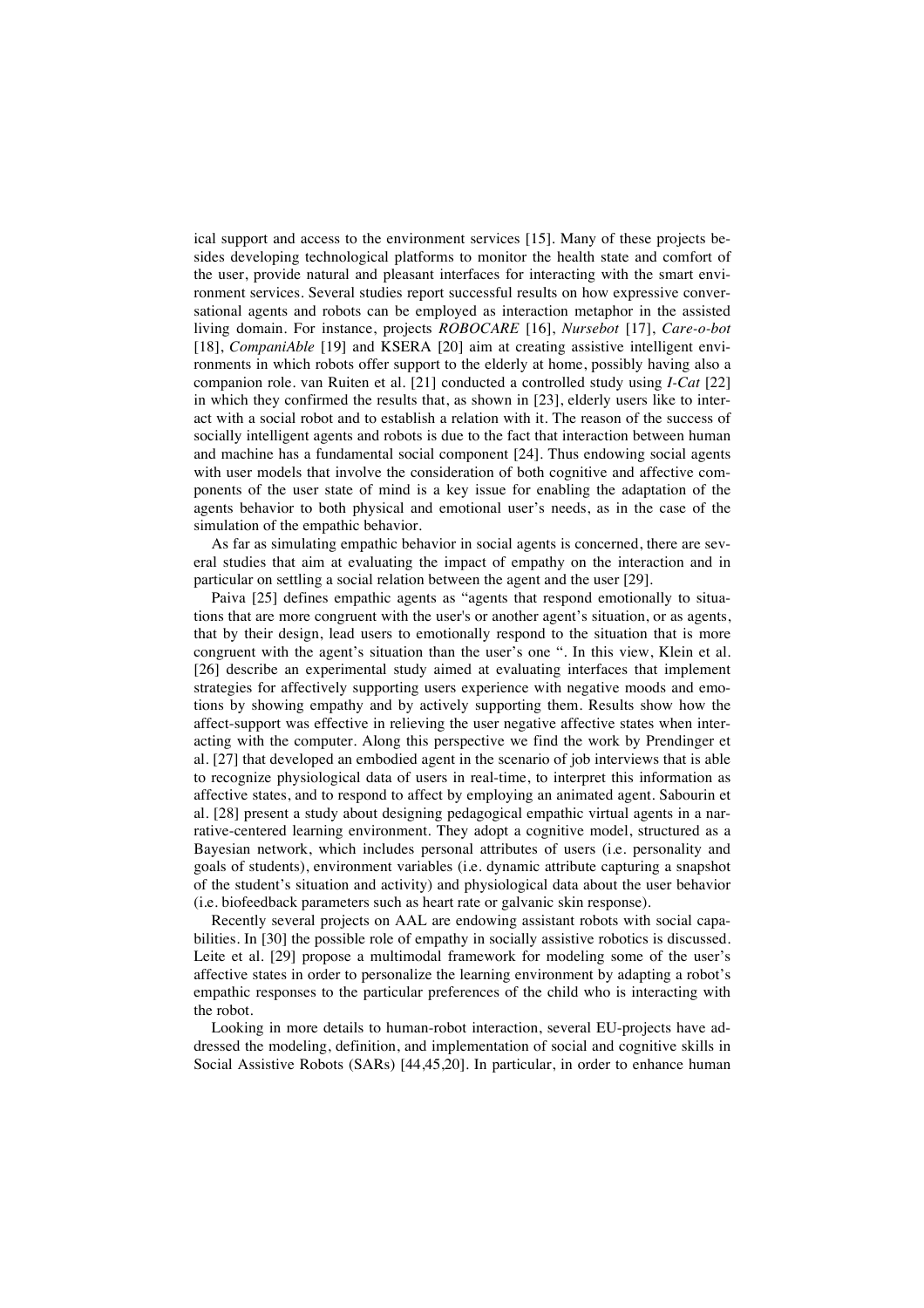ical support and access to the environment services [15]. Many of these projects besides developing technological platforms to monitor the health state and comfort of the user, provide natural and pleasant interfaces for interacting with the smart environment services. Several studies report successful results on how expressive conversational agents and robots can be employed as interaction metaphor in the assisted living domain. For instance, projects *ROBOCARE* [16], *Nursebot* [17], *Care-o-bot* [18], *CompaniAble* [19] and KSERA [20] aim at creating assistive intelligent environments in which robots offer support to the elderly at home, possibly having also a companion role. van Ruiten et al. [21] conducted a controlled study using *I-Cat* [22] in which they confirmed the results that, as shown in [23], elderly users like to interact with a social robot and to establish a relation with it. The reason of the success of socially intelligent agents and robots is due to the fact that interaction between human and machine has a fundamental social component [24]. Thus endowing social agents with user models that involve the consideration of both cognitive and affective components of the user state of mind is a key issue for enabling the adaptation of the agents behavior to both physical and emotional user's needs, as in the case of the simulation of the empathic behavior.

As far as simulating empathic behavior in social agents is concerned, there are several studies that aim at evaluating the impact of empathy on the interaction and in particular on settling a social relation between the agent and the user [29].

Paiva [25] defines empathic agents as "agents that respond emotionally to situations that are more congruent with the user's or another agent's situation, or as agents, that by their design, lead users to emotionally respond to the situation that is more congruent with the agent's situation than the user's one ". In this view, Klein et al. [26] describe an experimental study aimed at evaluating interfaces that implement strategies for affectively supporting users experience with negative moods and emotions by showing empathy and by actively supporting them. Results show how the affect-support was effective in relieving the user negative affective states when interacting with the computer. Along this perspective we find the work by Prendinger et al. [27] that developed an embodied agent in the scenario of job interviews that is able to recognize physiological data of users in real-time, to interpret this information as affective states, and to respond to affect by employing an animated agent. Sabourin et al. [28] present a study about designing pedagogical empathic virtual agents in a narrative-centered learning environment. They adopt a cognitive model, structured as a Bayesian network, which includes personal attributes of users (i.e. personality and goals of students), environment variables (i.e. dynamic attribute capturing a snapshot of the student's situation and activity) and physiological data about the user behavior (i.e. biofeedback parameters such as heart rate or galvanic skin response).

Recently several projects on AAL are endowing assistant robots with social capabilities. In [30] the possible role of empathy in socially assistive robotics is discussed. Leite et al. [29] propose a multimodal framework for modeling some of the user's affective states in order to personalize the learning environment by adapting a robot's empathic responses to the particular preferences of the child who is interacting with the robot.

Looking in more details to human-robot interaction, several EU-projects have addressed the modeling, definition, and implementation of social and cognitive skills in Social Assistive Robots (SARs) [44,45,20]. In particular, in order to enhance human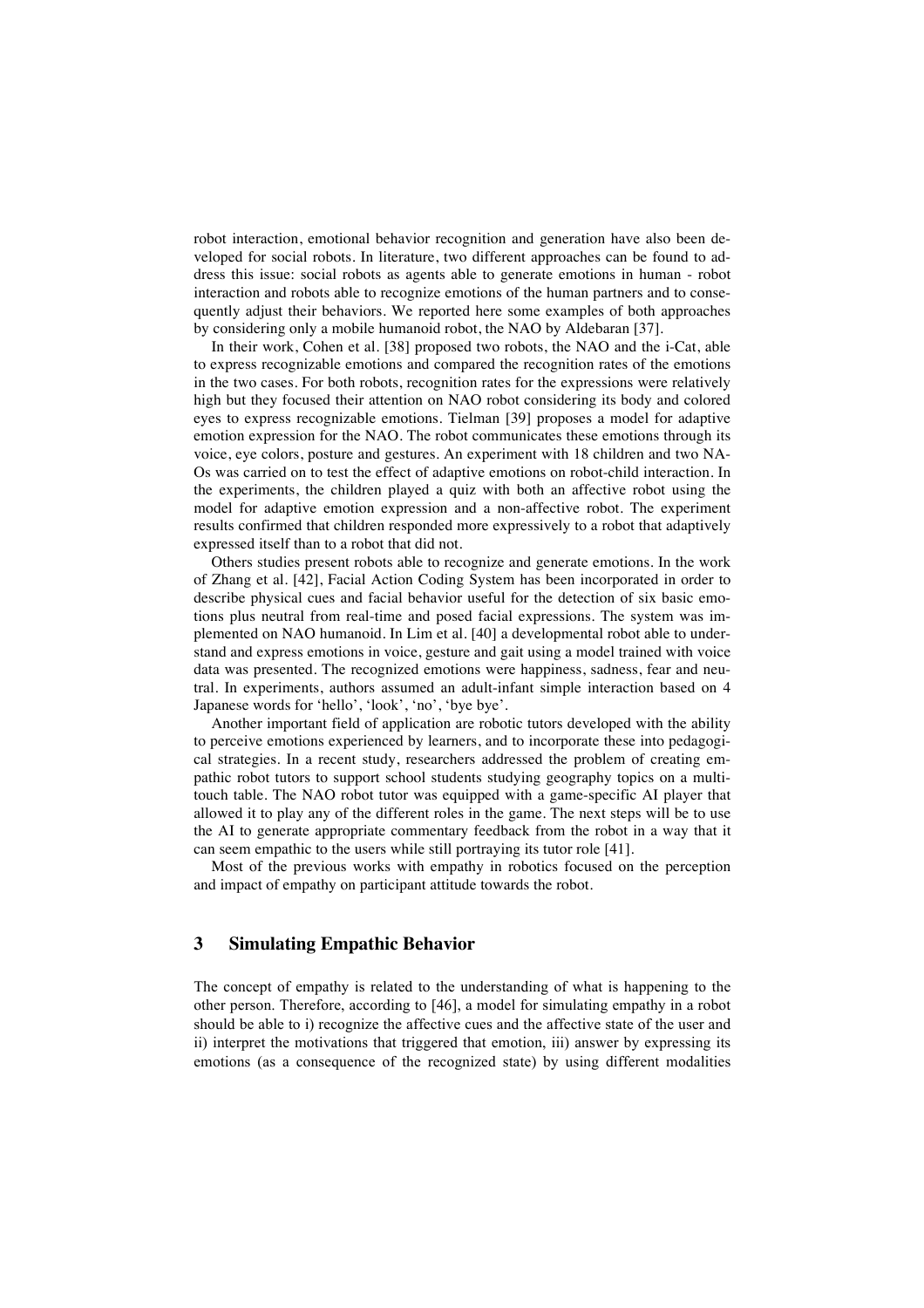robot interaction, emotional behavior recognition and generation have also been developed for social robots. In literature, two different approaches can be found to address this issue: social robots as agents able to generate emotions in human - robot interaction and robots able to recognize emotions of the human partners and to consequently adjust their behaviors. We reported here some examples of both approaches by considering only a mobile humanoid robot, the NAO by Aldebaran [37].

In their work, Cohen et al. [38] proposed two robots, the NAO and the i-Cat, able to express recognizable emotions and compared the recognition rates of the emotions in the two cases. For both robots, recognition rates for the expressions were relatively high but they focused their attention on NAO robot considering its body and colored eyes to express recognizable emotions. Tielman [39] proposes a model for adaptive emotion expression for the NAO. The robot communicates these emotions through its voice, eye colors, posture and gestures. An experiment with 18 children and two NA-Os was carried on to test the effect of adaptive emotions on robot-child interaction. In the experiments, the children played a quiz with both an affective robot using the model for adaptive emotion expression and a non-affective robot. The experiment results confirmed that children responded more expressively to a robot that adaptively expressed itself than to a robot that did not.

Others studies present robots able to recognize and generate emotions. In the work of Zhang et al. [42], Facial Action Coding System has been incorporated in order to describe physical cues and facial behavior useful for the detection of six basic emotions plus neutral from real-time and posed facial expressions. The system was implemented on NAO humanoid. In Lim et al. [40] a developmental robot able to understand and express emotions in voice, gesture and gait using a model trained with voice data was presented. The recognized emotions were happiness, sadness, fear and neutral. In experiments, authors assumed an adult-infant simple interaction based on 4 Japanese words for 'hello', 'look', 'no', 'bye bye'.

Another important field of application are robotic tutors developed with the ability to perceive emotions experienced by learners, and to incorporate these into pedagogical strategies. In a recent study, researchers addressed the problem of creating empathic robot tutors to support school students studying geography topics on a multitouch table. The NAO robot tutor was equipped with a game-specific AI player that allowed it to play any of the different roles in the game. The next steps will be to use the AI to generate appropriate commentary feedback from the robot in a way that it can seem empathic to the users while still portraying its tutor role [41].

Most of the previous works with empathy in robotics focused on the perception and impact of empathy on participant attitude towards the robot.

## **3 Simulating Empathic Behavior**

The concept of empathy is related to the understanding of what is happening to the other person. Therefore, according to [46], a model for simulating empathy in a robot should be able to i) recognize the affective cues and the affective state of the user and ii) interpret the motivations that triggered that emotion, iii) answer by expressing its emotions (as a consequence of the recognized state) by using different modalities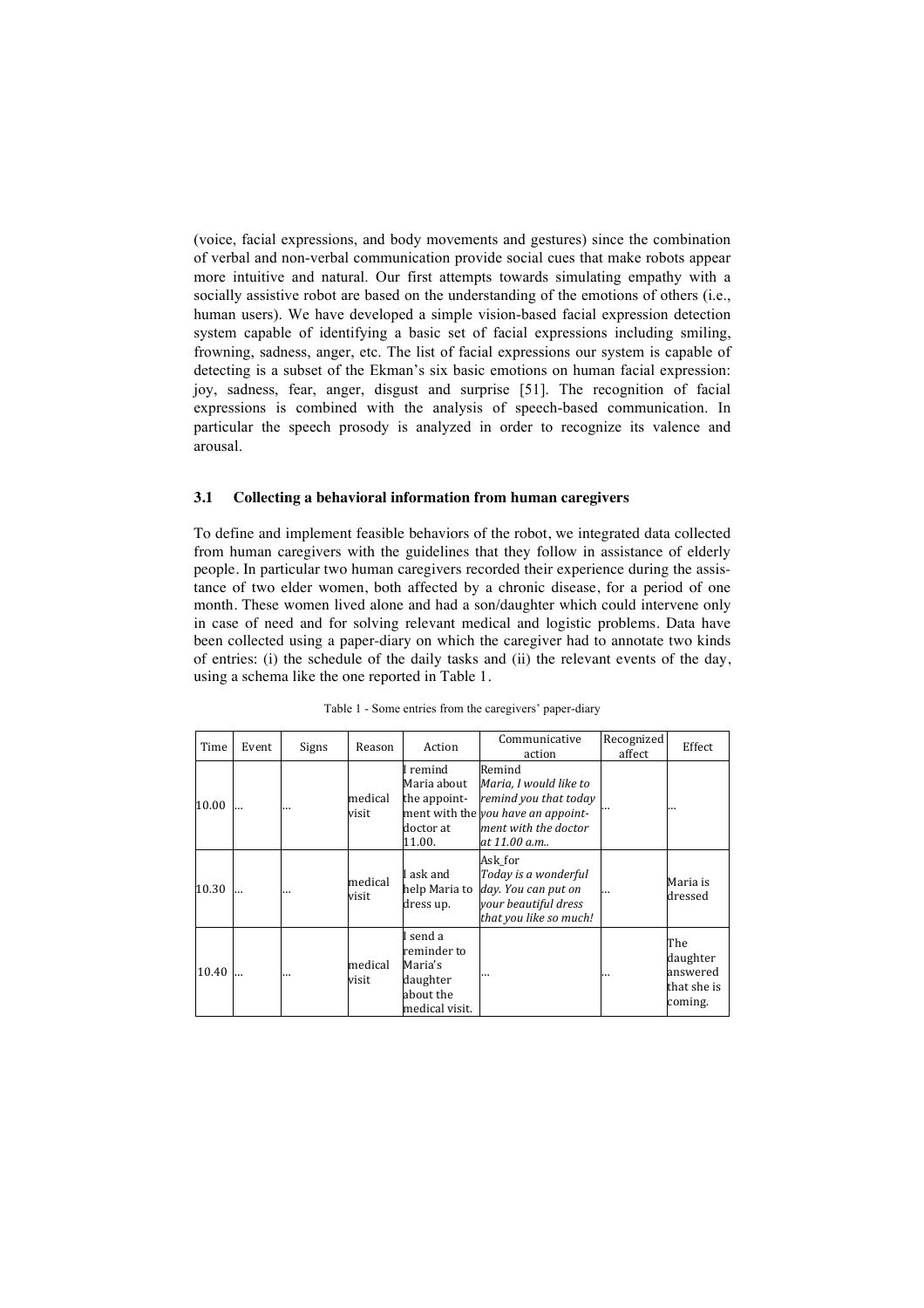(voice, facial expressions, and body movements and gestures) since the combination of verbal and non-verbal communication provide social cues that make robots appear more intuitive and natural. Our first attempts towards simulating empathy with a socially assistive robot are based on the understanding of the emotions of others (i.e., human users). We have developed a simple vision-based facial expression detection system capable of identifying a basic set of facial expressions including smiling, frowning, sadness, anger, etc. The list of facial expressions our system is capable of detecting is a subset of the Ekman's six basic emotions on human facial expression: joy, sadness, fear, anger, disgust and surprise [51]. The recognition of facial expressions is combined with the analysis of speech-based communication. In particular the speech prosody is analyzed in order to recognize its valence and arousal.

#### **3.1 Collecting a behavioral information from human caregivers**

To define and implement feasible behaviors of the robot, we integrated data collected from human caregivers with the guidelines that they follow in assistance of elderly people. In particular two human caregivers recorded their experience during the assistance of two elder women, both affected by a chronic disease, for a period of one month. These women lived alone and had a son/daughter which could intervene only in case of need and for solving relevant medical and logistic problems. Data have been collected using a paper-diary on which the caregiver had to annotate two kinds of entries: (i) the schedule of the daily tasks and (ii) the relevant events of the day, using a schema like the one reported in Table 1.

| Time  | Event | Signs | Reason           | Action                                                                        | Communicative<br>action                                                                                                                 | Recognized<br>affect | Effect                                                |
|-------|-------|-------|------------------|-------------------------------------------------------------------------------|-----------------------------------------------------------------------------------------------------------------------------------------|----------------------|-------------------------------------------------------|
| 10.00 |       |       | medical<br>visit | I remind<br>Maria about<br>the appoint-<br>doctor at<br>11.00.                | Remind<br>Maria, I would like to<br>remind you that today<br>ment with the you have an appoint-<br>ment with the doctor<br>at 11.00 a.m |                      |                                                       |
| 10.30 |       |       | medical<br>visit | I ask and<br>help Maria to<br>dress up.                                       | Ask for<br>Today is a wonderful<br>day. You can put on<br>your beautiful dress<br>that you like so much!                                | $\cdots$             | Maria is<br>dressed                                   |
| 10.40 |       |       | medical<br>visit | I send a<br>reminder to<br>Maria's<br>daughter<br>about the<br>medical visit. |                                                                                                                                         |                      | The<br>daughter<br>answered<br>that she is<br>coming. |

|  |  |  | Table 1 - Some entries from the caregivers' paper-diary |  |
|--|--|--|---------------------------------------------------------|--|
|  |  |  |                                                         |  |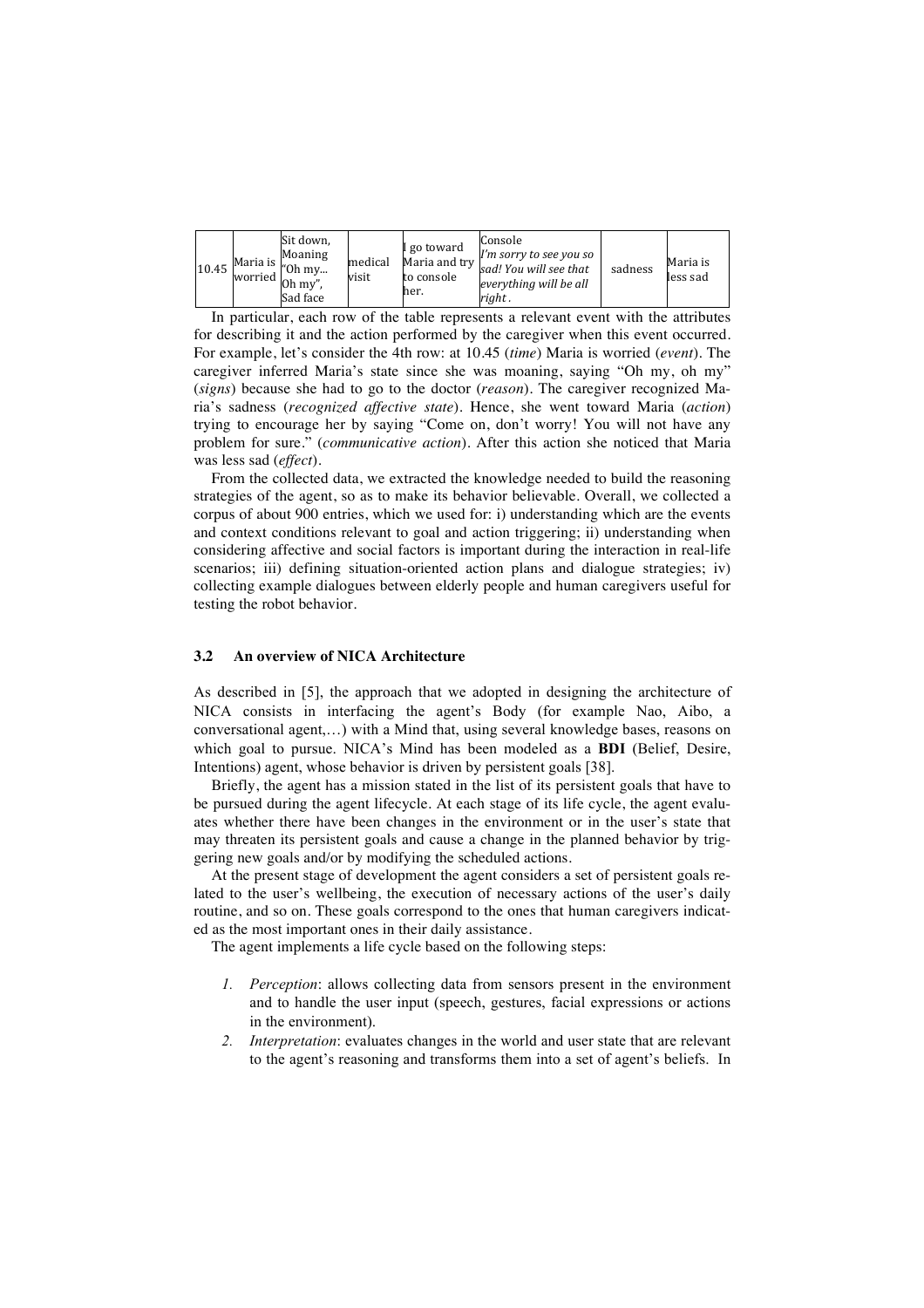| 10.45 | $-Maria$ is $\mu_{\rm 0h}$ my<br>worried $\overline{\text{Oh }my''}$ . | Sit down,<br>Moaning<br>Sad face | medical<br>visit | I go toward<br>to console<br>her. | Console<br>I'm sorry to see you so<br>$\mu$ Maria and try sad! You will see that<br>everything will be all<br>right. | sadness | Maria is<br>less sad |
|-------|------------------------------------------------------------------------|----------------------------------|------------------|-----------------------------------|----------------------------------------------------------------------------------------------------------------------|---------|----------------------|
|-------|------------------------------------------------------------------------|----------------------------------|------------------|-----------------------------------|----------------------------------------------------------------------------------------------------------------------|---------|----------------------|

In particular, each row of the table represents a relevant event with the attributes for describing it and the action performed by the caregiver when this event occurred. For example, let's consider the 4th row: at 10.45 (*time*) Maria is worried (*event*). The caregiver inferred Maria's state since she was moaning, saying "Oh my, oh my" (*signs*) because she had to go to the doctor (*reason*). The caregiver recognized Maria's sadness (*recognized affective state*). Hence, she went toward Maria (*action*) trying to encourage her by saying "Come on, don't worry! You will not have any problem for sure." (*communicative action*). After this action she noticed that Maria was less sad (*effect*).

From the collected data, we extracted the knowledge needed to build the reasoning strategies of the agent, so as to make its behavior believable. Overall, we collected a corpus of about 900 entries, which we used for: i) understanding which are the events and context conditions relevant to goal and action triggering; ii) understanding when considering affective and social factors is important during the interaction in real-life scenarios; iii) defining situation-oriented action plans and dialogue strategies; iv) collecting example dialogues between elderly people and human caregivers useful for testing the robot behavior.

### **3.2 An overview of NICA Architecture**

As described in [5], the approach that we adopted in designing the architecture of NICA consists in interfacing the agent's Body (for example Nao, Aibo, a conversational agent,…) with a Mind that, using several knowledge bases, reasons on which goal to pursue. NICA's Mind has been modeled as a **BDI** (Belief, Desire, Intentions) agent, whose behavior is driven by persistent goals [38].

Briefly, the agent has a mission stated in the list of its persistent goals that have to be pursued during the agent lifecycle. At each stage of its life cycle, the agent evaluates whether there have been changes in the environment or in the user's state that may threaten its persistent goals and cause a change in the planned behavior by triggering new goals and/or by modifying the scheduled actions.

At the present stage of development the agent considers a set of persistent goals related to the user's wellbeing, the execution of necessary actions of the user's daily routine, and so on. These goals correspond to the ones that human caregivers indicated as the most important ones in their daily assistance.

The agent implements a life cycle based on the following steps:

- *1. Perception*: allows collecting data from sensors present in the environment and to handle the user input (speech, gestures, facial expressions or actions in the environment).
- *2. Interpretation*: evaluates changes in the world and user state that are relevant to the agent's reasoning and transforms them into a set of agent's beliefs. In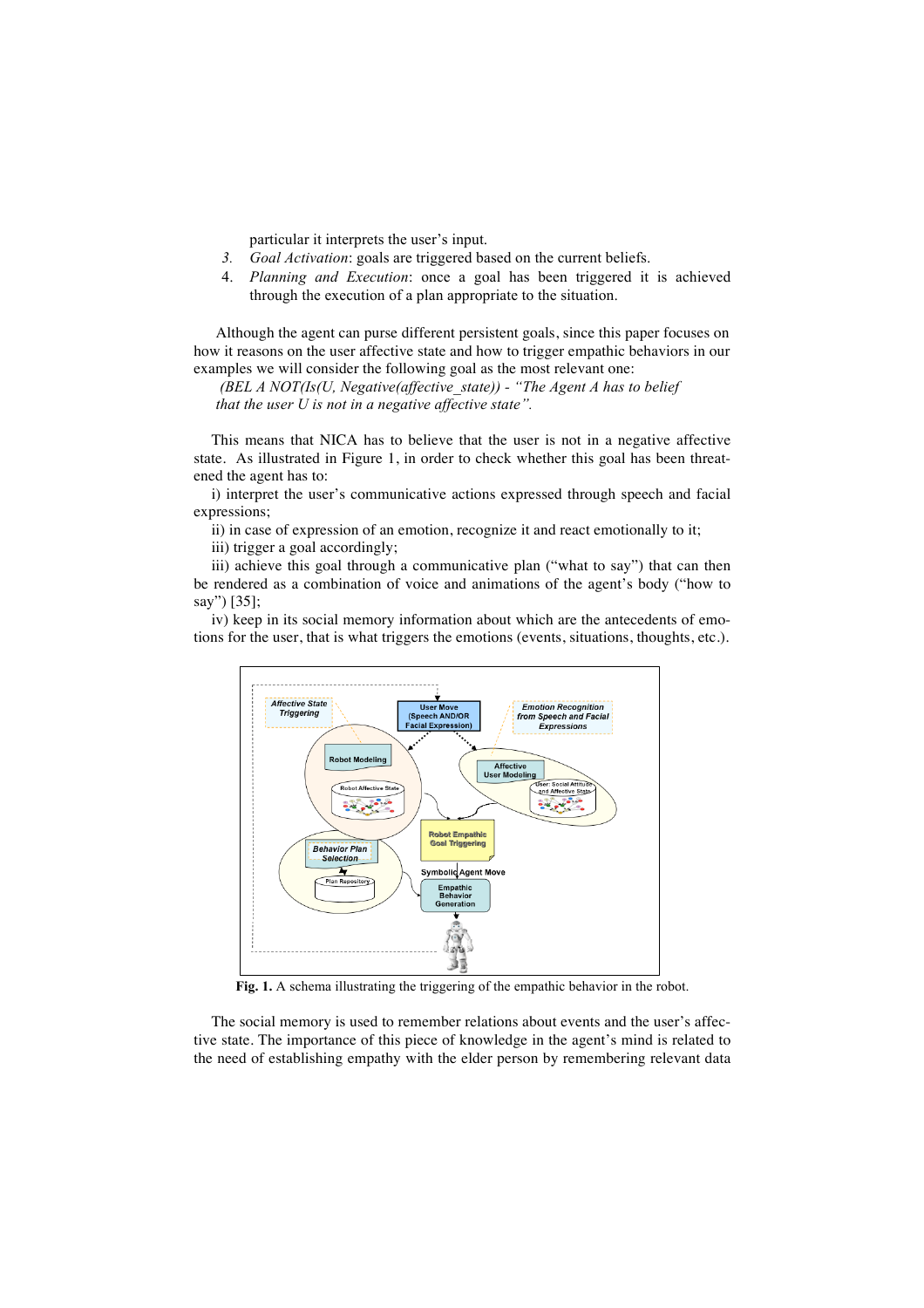particular it interprets the user's input.

- *3. Goal Activation*: goals are triggered based on the current beliefs.
- 4. *Planning and Execution*: once a goal has been triggered it is achieved through the execution of a plan appropriate to the situation.

Although the agent can purse different persistent goals, since this paper focuses on how it reasons on the user affective state and how to trigger empathic behaviors in our examples we will consider the following goal as the most relevant one:

*(BEL A NOT(Is(U, Negative(affective\_state)) - "The Agent A has to belief that the user U is not in a negative affective state".* 

This means that NICA has to believe that the user is not in a negative affective state. As illustrated in Figure 1, in order to check whether this goal has been threatened the agent has to:

i) interpret the user's communicative actions expressed through speech and facial expressions;

ii) in case of expression of an emotion, recognize it and react emotionally to it;

iii) trigger a goal accordingly;

iii) achieve this goal through a communicative plan ("what to say") that can then be rendered as a combination of voice and animations of the agent's body ("how to say") [35];

iv) keep in its social memory information about which are the antecedents of emotions for the user, that is what triggers the emotions (events, situations, thoughts, etc.).



**Fig. 1.** A schema illustrating the triggering of the empathic behavior in the robot.

The social memory is used to remember relations about events and the user's affective state. The importance of this piece of knowledge in the agent's mind is related to the need of establishing empathy with the elder person by remembering relevant data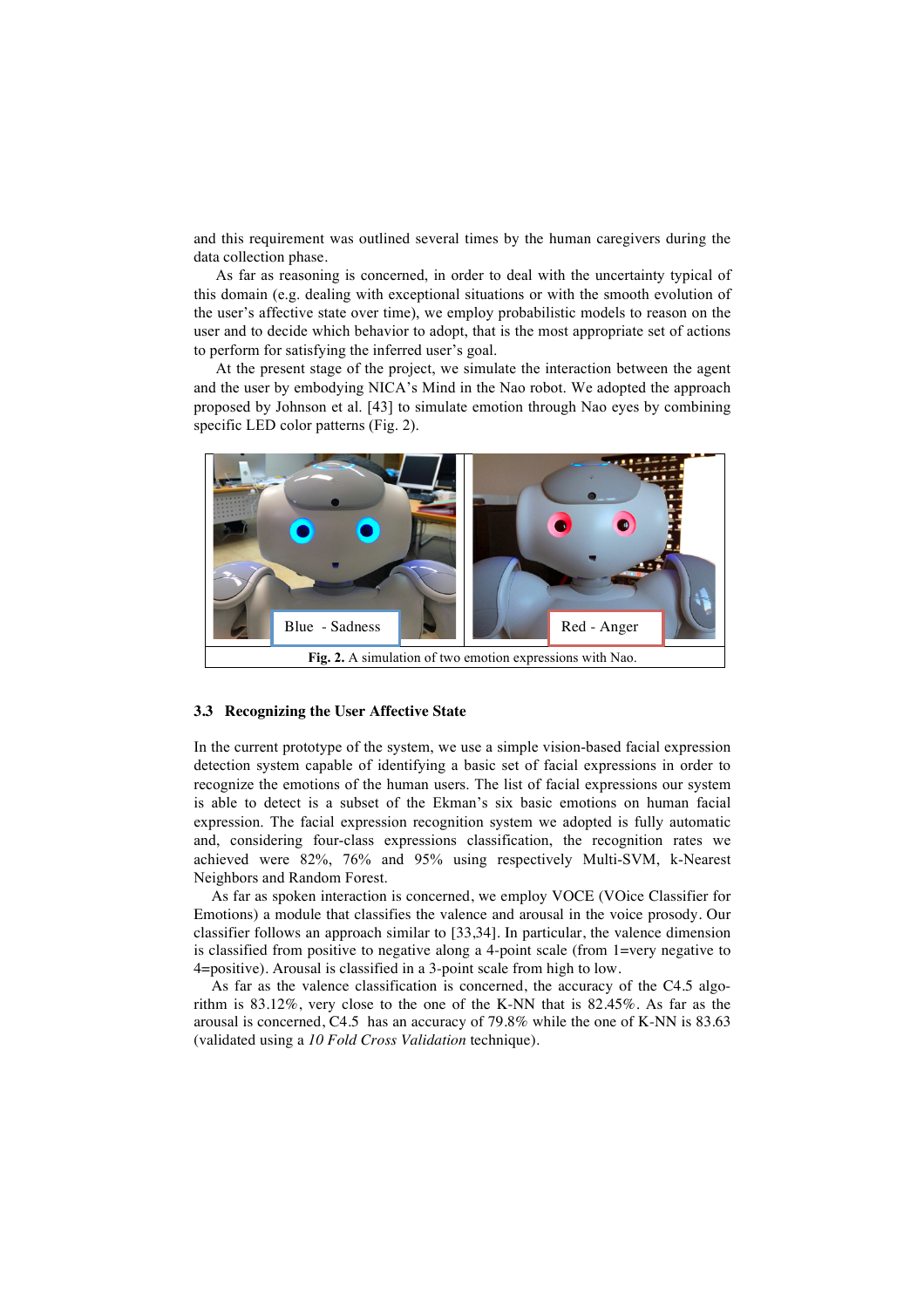and this requirement was outlined several times by the human caregivers during the data collection phase.

As far as reasoning is concerned, in order to deal with the uncertainty typical of this domain (e.g. dealing with exceptional situations or with the smooth evolution of the user's affective state over time), we employ probabilistic models to reason on the user and to decide which behavior to adopt, that is the most appropriate set of actions to perform for satisfying the inferred user's goal.

At the present stage of the project, we simulate the interaction between the agent and the user by embodying NICA's Mind in the Nao robot. We adopted the approach proposed by Johnson et al. [43] to simulate emotion through Nao eyes by combining specific LED color patterns (Fig. 2).



### **3.3 Recognizing the User Affective State**

In the current prototype of the system, we use a simple vision-based facial expression detection system capable of identifying a basic set of facial expressions in order to recognize the emotions of the human users. The list of facial expressions our system is able to detect is a subset of the Ekman's six basic emotions on human facial expression. The facial expression recognition system we adopted is fully automatic and, considering four-class expressions classification, the recognition rates we achieved were 82%, 76% and 95% using respectively Multi-SVM, k-Nearest Neighbors and Random Forest.

As far as spoken interaction is concerned, we employ VOCE (VOice Classifier for Emotions) a module that classifies the valence and arousal in the voice prosody. Our classifier follows an approach similar to [33,34]. In particular, the valence dimension is classified from positive to negative along a 4-point scale (from 1=very negative to 4=positive). Arousal is classified in a 3-point scale from high to low.

As far as the valence classification is concerned, the accuracy of the C4.5 algorithm is 83.12%, very close to the one of the K-NN that is 82.45%. As far as the arousal is concerned, C4.5 has an accuracy of 79.8% while the one of K-NN is 83.63 (validated using a *10 Fold Cross Validation* technique).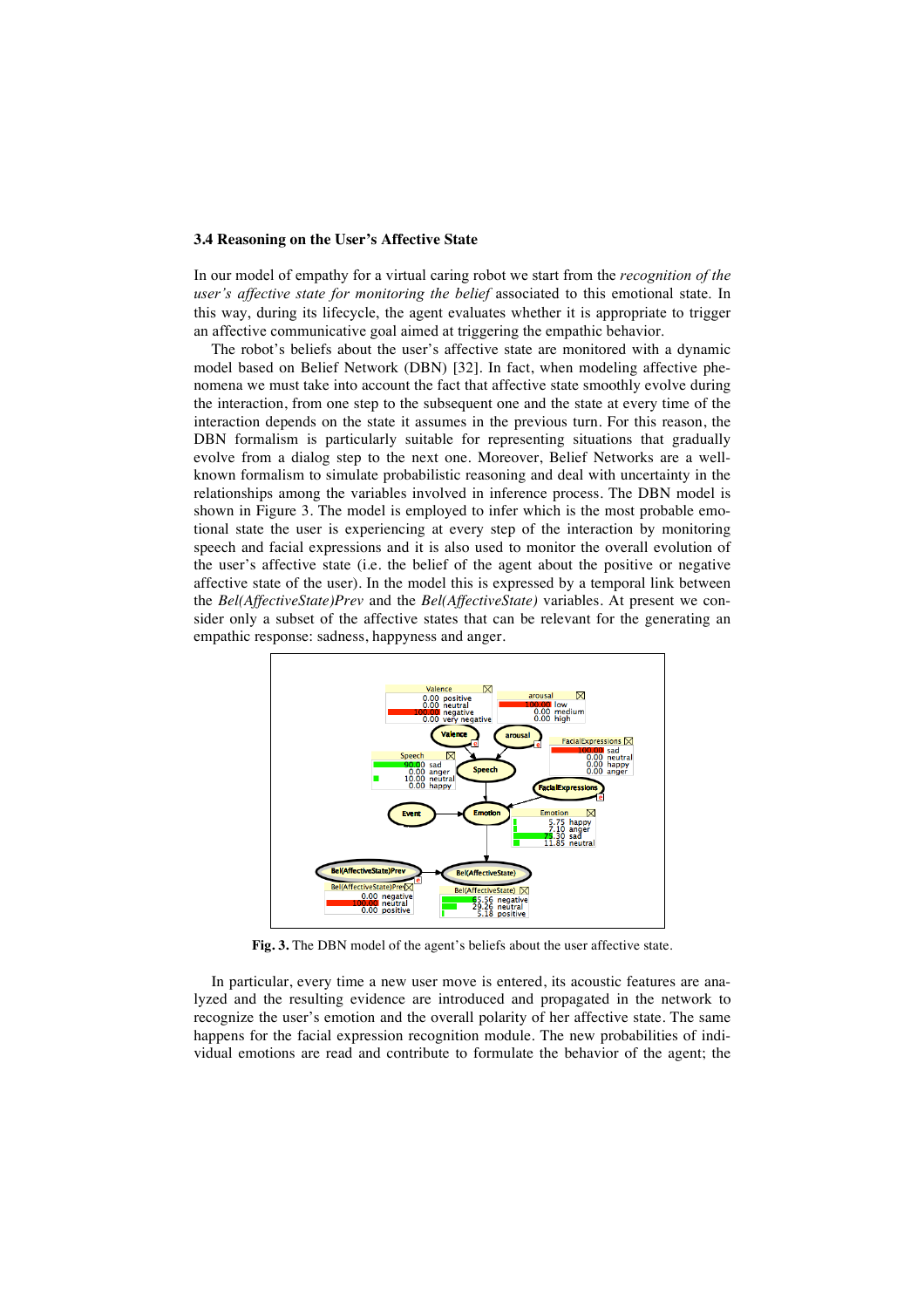#### **3.4 Reasoning on the User's Affective State**

In our model of empathy for a virtual caring robot we start from the *recognition of the user's affective state for monitoring the belief* associated to this emotional state. In this way, during its lifecycle, the agent evaluates whether it is appropriate to trigger an affective communicative goal aimed at triggering the empathic behavior.

The robot's beliefs about the user's affective state are monitored with a dynamic model based on Belief Network (DBN) [32]. In fact, when modeling affective phenomena we must take into account the fact that affective state smoothly evolve during the interaction, from one step to the subsequent one and the state at every time of the interaction depends on the state it assumes in the previous turn. For this reason, the DBN formalism is particularly suitable for representing situations that gradually evolve from a dialog step to the next one. Moreover, Belief Networks are a wellknown formalism to simulate probabilistic reasoning and deal with uncertainty in the relationships among the variables involved in inference process. The DBN model is shown in Figure 3. The model is employed to infer which is the most probable emotional state the user is experiencing at every step of the interaction by monitoring speech and facial expressions and it is also used to monitor the overall evolution of the user's affective state (i.e. the belief of the agent about the positive or negative affective state of the user). In the model this is expressed by a temporal link between the *Bel(AffectiveState)Prev* and the *Bel(AffectiveState)* variables. At present we consider only a subset of the affective states that can be relevant for the generating an empathic response: sadness, happyness and anger.



**Fig. 3.** The DBN model of the agent's beliefs about the user affective state.

In particular, every time a new user move is entered, its acoustic features are analyzed and the resulting evidence are introduced and propagated in the network to recognize the user's emotion and the overall polarity of her affective state. The same happens for the facial expression recognition module. The new probabilities of individual emotions are read and contribute to formulate the behavior of the agent; the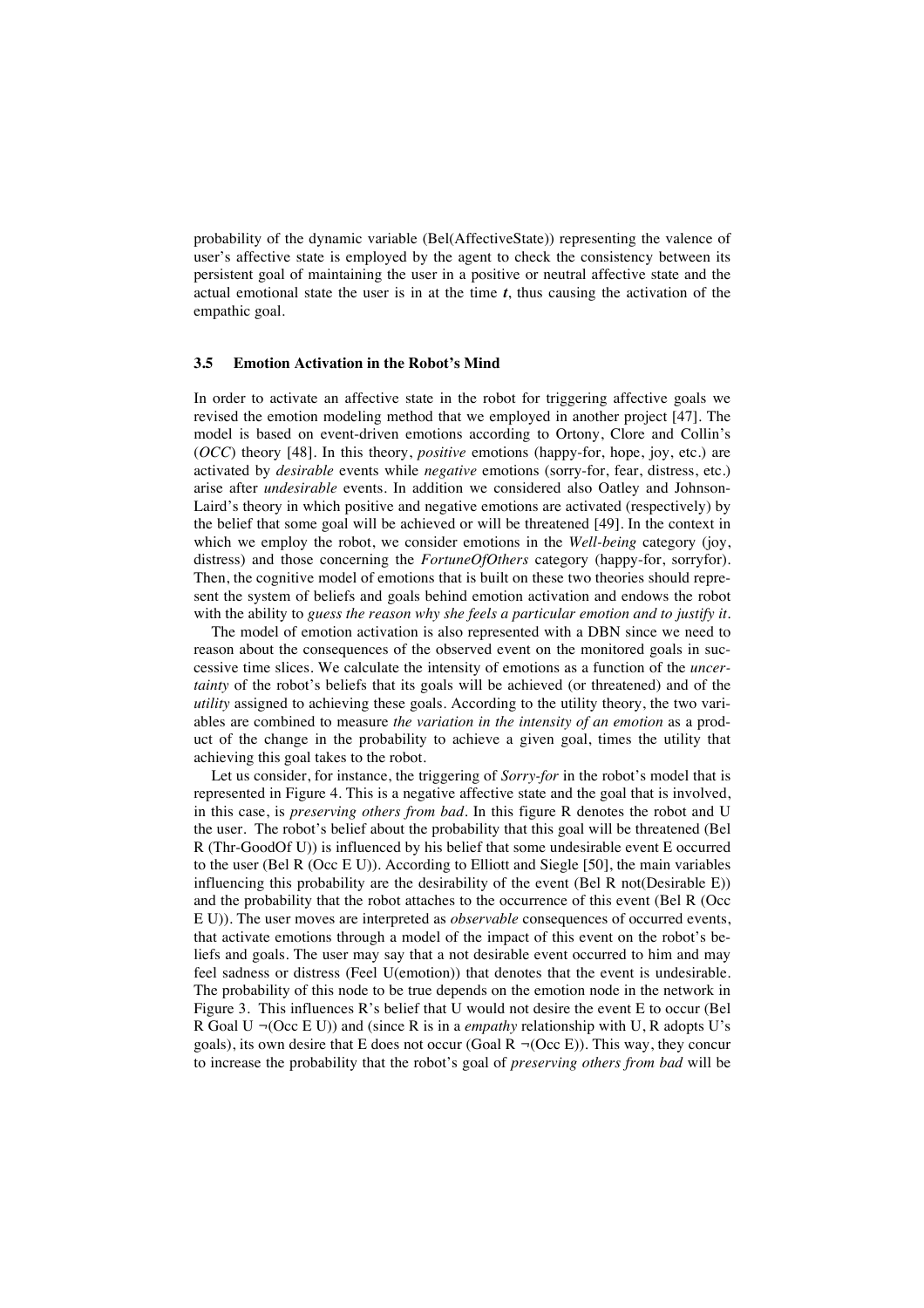probability of the dynamic variable (Bel(AffectiveState)) representing the valence of user's affective state is employed by the agent to check the consistency between its persistent goal of maintaining the user in a positive or neutral affective state and the actual emotional state the user is in at the time  $t$ , thus causing the activation of the empathic goal.

#### **3.5 Emotion Activation in the Robot's Mind**

In order to activate an affective state in the robot for triggering affective goals we revised the emotion modeling method that we employed in another project [47]. The model is based on event-driven emotions according to Ortony, Clore and Collin's (*OCC*) theory [48]. In this theory, *positive* emotions (happy-for, hope, joy, etc.) are activated by *desirable* events while *negative* emotions (sorry-for, fear, distress, etc.) arise after *undesirable* events. In addition we considered also Oatley and Johnson-Laird's theory in which positive and negative emotions are activated (respectively) by the belief that some goal will be achieved or will be threatened [49]. In the context in which we employ the robot, we consider emotions in the *Well-being* category (joy, distress) and those concerning the *FortuneOfOthers* category (happy-for, sorryfor). Then, the cognitive model of emotions that is built on these two theories should represent the system of beliefs and goals behind emotion activation and endows the robot with the ability to *guess the reason why she feels a particular emotion and to justify it*.

The model of emotion activation is also represented with a DBN since we need to reason about the consequences of the observed event on the monitored goals in successive time slices. We calculate the intensity of emotions as a function of the *uncertainty* of the robot's beliefs that its goals will be achieved (or threatened) and of the *utility* assigned to achieving these goals. According to the utility theory, the two variables are combined to measure *the variation in the intensity of an emotion* as a product of the change in the probability to achieve a given goal, times the utility that achieving this goal takes to the robot.

Let us consider, for instance, the triggering of *Sorry-for* in the robot's model that is represented in Figure 4. This is a negative affective state and the goal that is involved, in this case, is *preserving others from bad*. In this figure R denotes the robot and U the user. The robot's belief about the probability that this goal will be threatened (Bel R (Thr-GoodOf U)) is influenced by his belief that some undesirable event E occurred to the user (Bel R (Occ E U)). According to Elliott and Siegle [50], the main variables influencing this probability are the desirability of the event (Bel R not(Desirable E)) and the probability that the robot attaches to the occurrence of this event (Bel R (Occ E U)). The user moves are interpreted as *observable* consequences of occurred events, that activate emotions through a model of the impact of this event on the robot's beliefs and goals. The user may say that a not desirable event occurred to him and may feel sadness or distress (Feel U(emotion)) that denotes that the event is undesirable. The probability of this node to be true depends on the emotion node in the network in Figure 3. This influences R's belief that U would not desire the event E to occur (Bel R Goal U *¬*(Occ E U)) and (since R is in a *empathy* relationship with U, R adopts U's goals), its own desire that E does not occur (Goal R  $\neg$ (Occ E)). This way, they concur to increase the probability that the robot's goal of *preserving others from bad* will be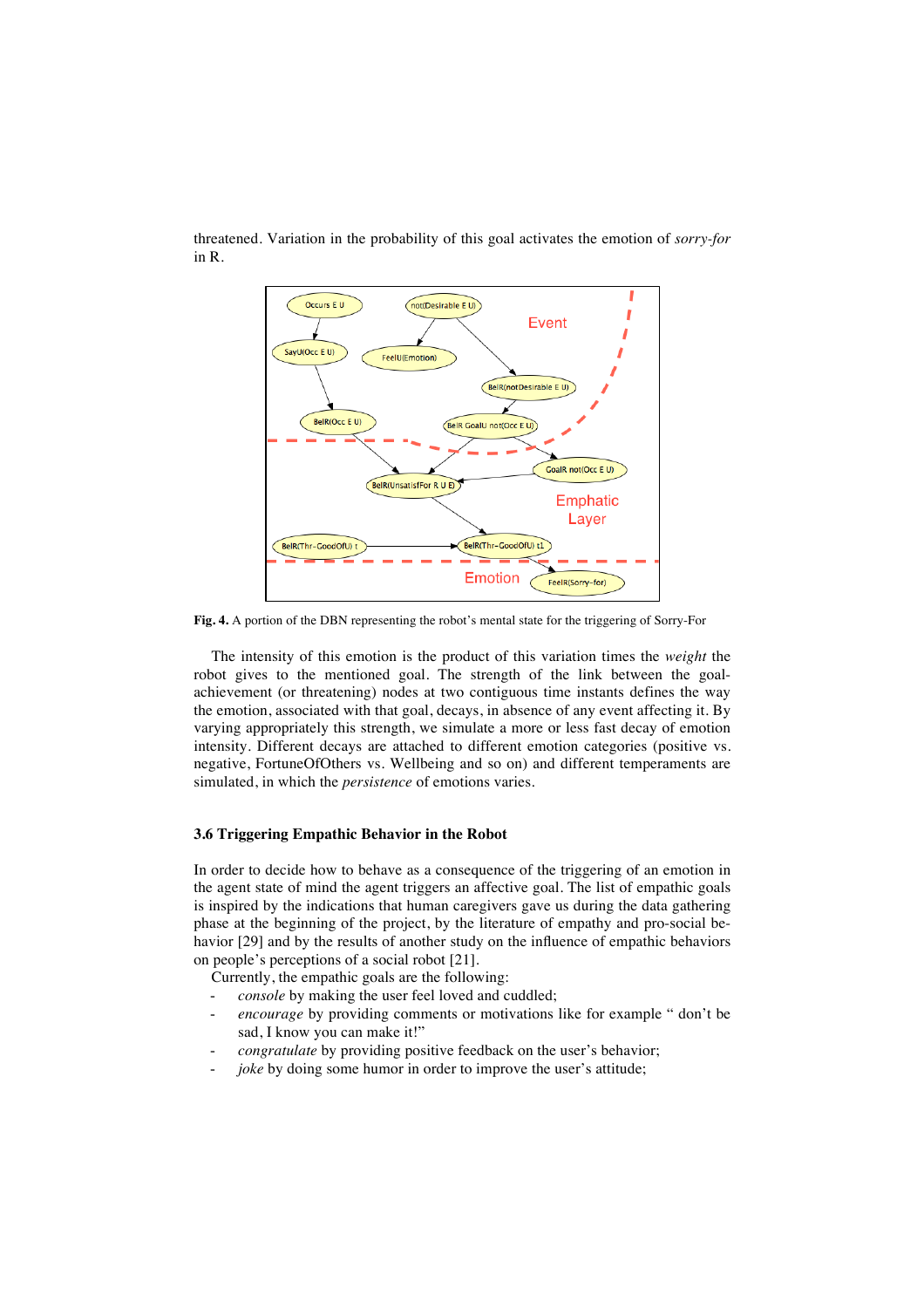

threatened. Variation in the probability of this goal activates the emotion of *sorry-for*  in R.

**Fig. 4.** A portion of the DBN representing the robot's mental state for the triggering of Sorry-For

The intensity of this emotion is the product of this variation times the *weight* the robot gives to the mentioned goal. The strength of the link between the goalachievement (or threatening) nodes at two contiguous time instants defines the way the emotion, associated with that goal, decays, in absence of any event affecting it. By varying appropriately this strength, we simulate a more or less fast decay of emotion intensity. Different decays are attached to different emotion categories (positive vs. negative, FortuneOfOthers vs. Wellbeing and so on) and different temperaments are simulated, in which the *persistence* of emotions varies.

#### **3.6 Triggering Empathic Behavior in the Robot**

In order to decide how to behave as a consequence of the triggering of an emotion in the agent state of mind the agent triggers an affective goal. The list of empathic goals is inspired by the indications that human caregivers gave us during the data gathering phase at the beginning of the project, by the literature of empathy and pro-social behavior [29] and by the results of another study on the influence of empathic behaviors on people's perceptions of a social robot [21].

Currently, the empathic goals are the following:

- console by making the user feel loved and cuddled;
- encourage by providing comments or motivations like for example " don't be sad, I know you can make it!"
- *congratulate* by providing positive feedback on the user's behavior;
- *joke* by doing some humor in order to improve the user's attitude;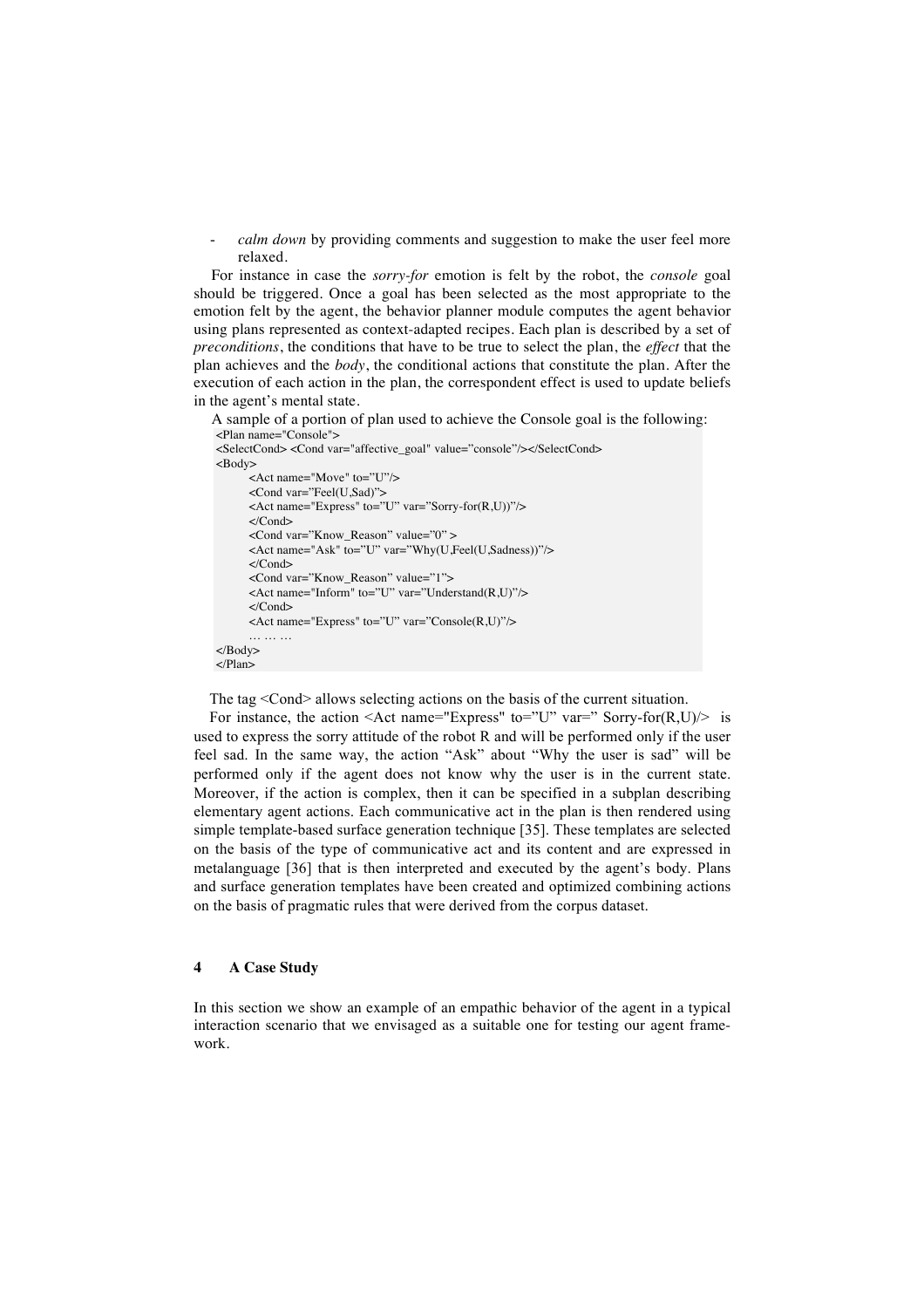*calm down* by providing comments and suggestion to make the user feel more relaxed.

For instance in case the *sorry-for* emotion is felt by the robot, the *console* goal should be triggered. Once a goal has been selected as the most appropriate to the emotion felt by the agent, the behavior planner module computes the agent behavior using plans represented as context-adapted recipes. Each plan is described by a set of *preconditions*, the conditions that have to be true to select the plan, the *effect* that the plan achieves and the *body*, the conditional actions that constitute the plan. After the execution of each action in the plan, the correspondent effect is used to update beliefs in the agent's mental state.

A sample of a portion of plan used to achieve the Console goal is the following:

```
<Plan name="Console">
<SelectCond> <Cond var="affective_goal" value="console"/></SelectCond>
<Body>
     <Act name="Move" to="U"/>
     <Cond var="Feel(U,Sad)">
     <Act name="Express" to="U" var="Sorry-for(R,U))"/>
     </Cond>
     <Cond var="Know_Reason" value="0" >
     <Act name="Ask" to="U" var="Why(U,Feel(U,Sadness))"/>
     </Cond>
     <Cond var="Know_Reason" value="1">
     <Act name="Inform" to="U" var="Understand(R,U)"/>
     </Cond>
     <Act name="Express" to="U" var="Console(R,U)"/>
      … … …
</Body>
</Plan>
```
The tag <Cond> allows selecting actions on the basis of the current situation.

For instance, the action <Act name="Express" to="U" var=" Sorry-for $(R,U)$  is used to express the sorry attitude of the robot R and will be performed only if the user feel sad. In the same way, the action "Ask" about "Why the user is sad" will be performed only if the agent does not know why the user is in the current state. Moreover, if the action is complex, then it can be specified in a subplan describing elementary agent actions. Each communicative act in the plan is then rendered using simple template-based surface generation technique [35]. These templates are selected on the basis of the type of communicative act and its content and are expressed in metalanguage [36] that is then interpreted and executed by the agent's body. Plans and surface generation templates have been created and optimized combining actions on the basis of pragmatic rules that were derived from the corpus dataset.

#### **4 A Case Study**

In this section we show an example of an empathic behavior of the agent in a typical interaction scenario that we envisaged as a suitable one for testing our agent framework.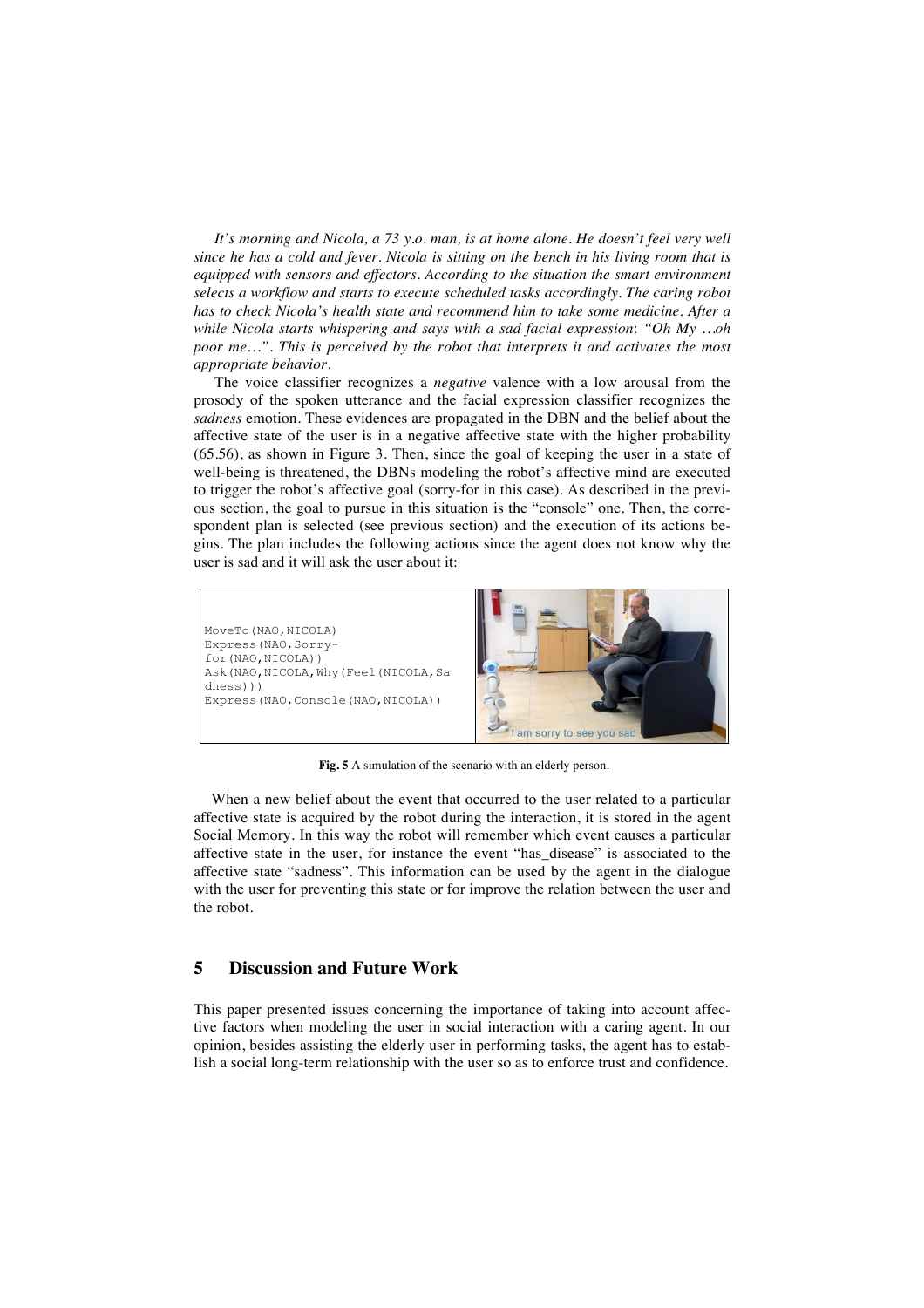*It's morning and Nicola, a 73 y.o. man, is at home alone. He doesn't feel very well since he has a cold and fever. Nicola is sitting on the bench in his living room that is equipped with sensors and effectors. According to the situation the smart environment selects a workflow and starts to execute scheduled tasks accordingly. The caring robot has to check Nicola's health state and recommend him to take some medicine. After a while Nicola starts whispering and says with a sad facial expression*: *"Oh My …oh poor me…". This is perceived by the robot that interprets it and activates the most appropriate behavior.*

The voice classifier recognizes a *negative* valence with a low arousal from the prosody of the spoken utterance and the facial expression classifier recognizes the *sadness* emotion. These evidences are propagated in the DBN and the belief about the affective state of the user is in a negative affective state with the higher probability (65.56), as shown in Figure 3. Then, since the goal of keeping the user in a state of well-being is threatened, the DBNs modeling the robot's affective mind are executed to trigger the robot's affective goal (sorry-for in this case). As described in the previous section, the goal to pursue in this situation is the "console" one. Then, the correspondent plan is selected (see previous section) and the execution of its actions begins. The plan includes the following actions since the agent does not know why the user is sad and it will ask the user about it:

MoveTo(NAO, NICOLA) Express(NAO,Sorryfor(NAO,NICOLA)) Ask(NAO,NICOLA,Why(Feel(NICOLA,Sa dness))) Express(NAO,Console(NAO,NICOLA))



**Fig. 5** A simulation of the scenario with an elderly person.

When a new belief about the event that occurred to the user related to a particular affective state is acquired by the robot during the interaction, it is stored in the agent Social Memory. In this way the robot will remember which event causes a particular affective state in the user, for instance the event "has\_disease" is associated to the affective state "sadness". This information can be used by the agent in the dialogue with the user for preventing this state or for improve the relation between the user and the robot.

## **5 Discussion and Future Work**

This paper presented issues concerning the importance of taking into account affective factors when modeling the user in social interaction with a caring agent. In our opinion, besides assisting the elderly user in performing tasks, the agent has to establish a social long-term relationship with the user so as to enforce trust and confidence.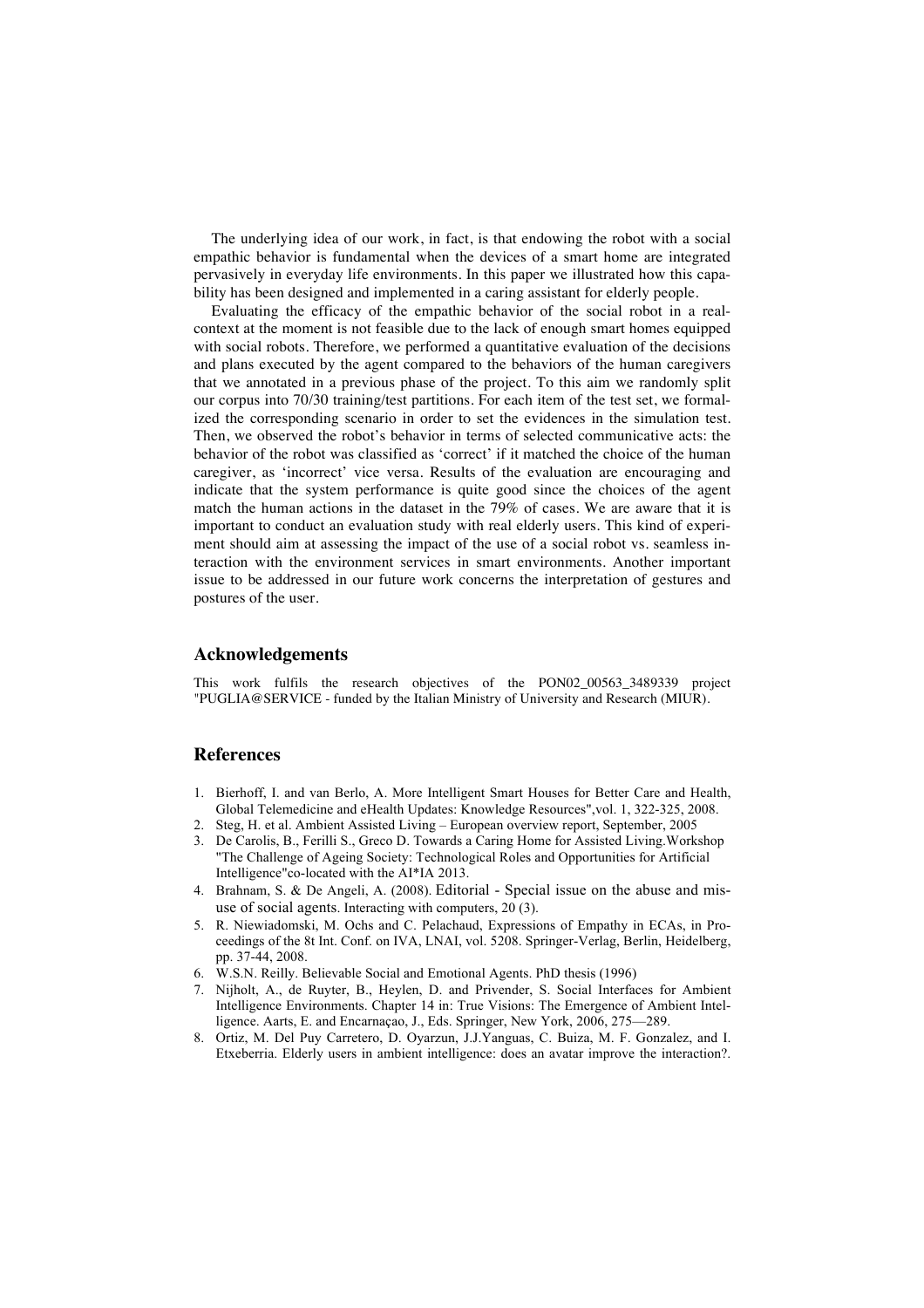The underlying idea of our work, in fact, is that endowing the robot with a social empathic behavior is fundamental when the devices of a smart home are integrated pervasively in everyday life environments. In this paper we illustrated how this capability has been designed and implemented in a caring assistant for elderly people.

Evaluating the efficacy of the empathic behavior of the social robot in a realcontext at the moment is not feasible due to the lack of enough smart homes equipped with social robots. Therefore, we performed a quantitative evaluation of the decisions and plans executed by the agent compared to the behaviors of the human caregivers that we annotated in a previous phase of the project. To this aim we randomly split our corpus into 70/30 training/test partitions. For each item of the test set, we formalized the corresponding scenario in order to set the evidences in the simulation test. Then, we observed the robot's behavior in terms of selected communicative acts: the behavior of the robot was classified as 'correct' if it matched the choice of the human caregiver, as 'incorrect' vice versa. Results of the evaluation are encouraging and indicate that the system performance is quite good since the choices of the agent match the human actions in the dataset in the 79% of cases. We are aware that it is important to conduct an evaluation study with real elderly users. This kind of experiment should aim at assessing the impact of the use of a social robot vs. seamless interaction with the environment services in smart environments. Another important issue to be addressed in our future work concerns the interpretation of gestures and postures of the user.

## **Acknowledgements**

This work fulfils the research objectives of the PON02\_00563\_3489339 project "PUGLIA@SERVICE - funded by the Italian Ministry of University and Research (MIUR).

## **References**

- 1. Bierhoff, I. and van Berlo, A. More Intelligent Smart Houses for Better Care and Health, Global Telemedicine and eHealth Updates: Knowledge Resources",vol. 1, 322-325, 2008.
- 2. Steg, H. et al. Ambient Assisted Living European overview report, September, 2005
- 3. De Carolis, B., Ferilli S., Greco D. Towards a Caring Home for Assisted Living.Workshop "The Challenge of Ageing Society: Technological Roles and Opportunities for Artificial Intelligence"co-located with the AI\*IA 2013.
- 4. Brahnam, S. & De Angeli, A. (2008). Editorial Special issue on the abuse and misuse of social agents. Interacting with computers, 20 (3).
- 5. R. Niewiadomski, M. Ochs and C. Pelachaud, Expressions of Empathy in ECAs, in Proceedings of the 8t Int. Conf. on IVA, LNAI, vol. 5208. Springer-Verlag, Berlin, Heidelberg, pp. 37-44, 2008.
- 6. W.S.N. Reilly. Believable Social and Emotional Agents. PhD thesis (1996)
- 7. Nijholt, A., de Ruyter, B., Heylen, D. and Privender, S. Social Interfaces for Ambient Intelligence Environments. Chapter 14 in: True Visions: The Emergence of Ambient Intelligence. Aarts, E. and Encarnaçao, J., Eds. Springer, New York, 2006, 275—289.
- 8. Ortiz, M. Del Puy Carretero, D. Oyarzun, J.J.Yanguas, C. Buiza, M. F. Gonzalez, and I. Etxeberria. Elderly users in ambient intelligence: does an avatar improve the interaction?.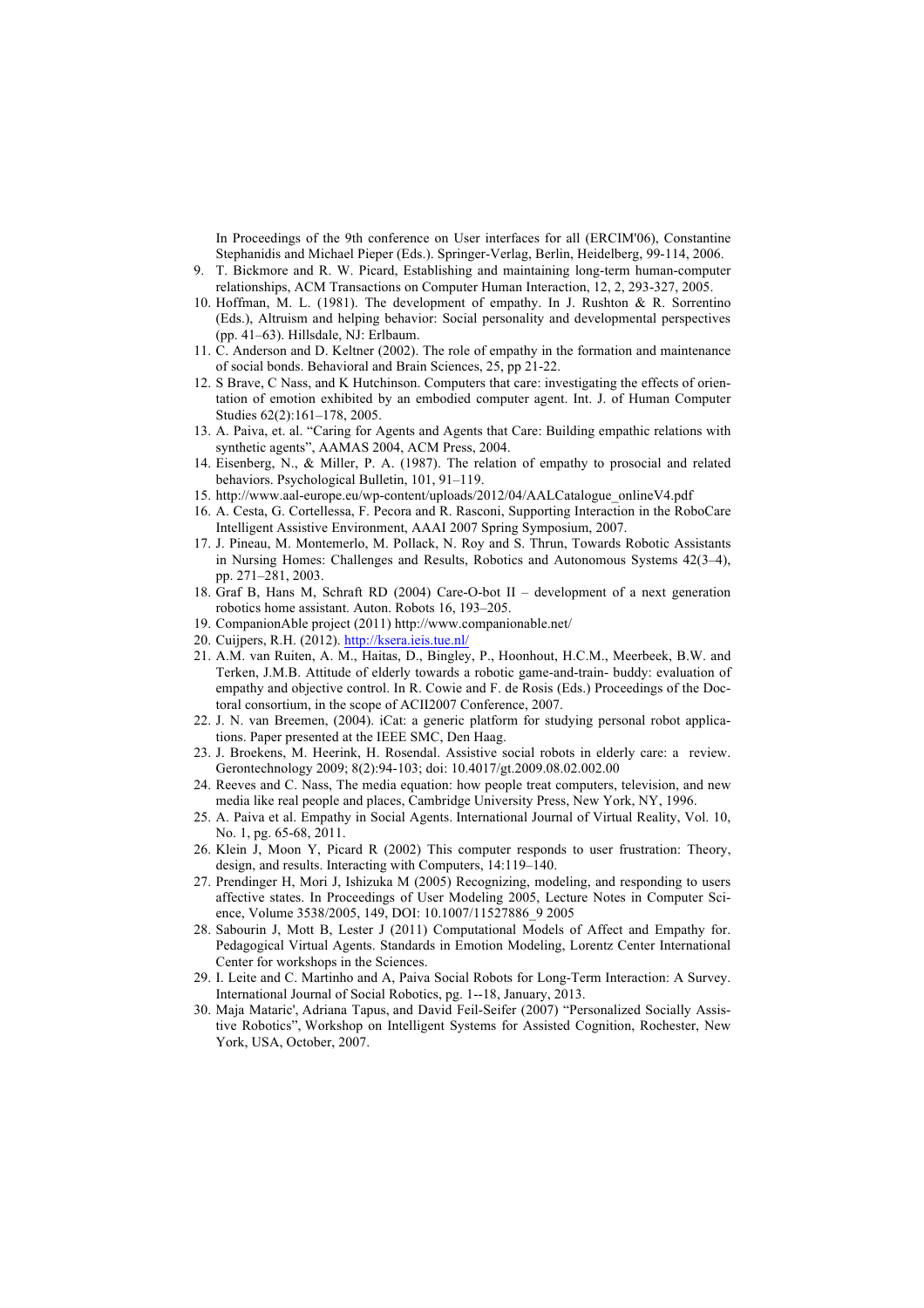In Proceedings of the 9th conference on User interfaces for all (ERCIM'06), Constantine Stephanidis and Michael Pieper (Eds.). Springer-Verlag, Berlin, Heidelberg, 99-114, 2006.

- 9. T. Bickmore and R. W. Picard, Establishing and maintaining long-term human-computer relationships, ACM Transactions on Computer Human Interaction, 12, 2, 293-327, 2005.
- 10. Hoffman, M. L. (1981). The development of empathy. In J. Rushton & R. Sorrentino (Eds.), Altruism and helping behavior: Social personality and developmental perspectives (pp. 41–63). Hillsdale, NJ: Erlbaum.
- 11. C. Anderson and D. Keltner (2002). The role of empathy in the formation and maintenance of social bonds. Behavioral and Brain Sciences, 25, pp 21-22.
- 12. S Brave, C Nass, and K Hutchinson. Computers that care: investigating the effects of orientation of emotion exhibited by an embodied computer agent. Int. J. of Human Computer Studies 62(2):161–178, 2005.
- 13. A. Paiva, et. al. "Caring for Agents and Agents that Care: Building empathic relations with synthetic agents", AAMAS 2004, ACM Press, 2004.
- 14. Eisenberg, N., & Miller, P. A. (1987). The relation of empathy to prosocial and related behaviors. Psychological Bulletin, 101, 91–119.
- 15. http://www.aal-europe.eu/wp-content/uploads/2012/04/AALCatalogue\_onlineV4.pdf
- 16. A. Cesta, G. Cortellessa, F. Pecora and R. Rasconi, Supporting Interaction in the RoboCare Intelligent Assistive Environment, AAAI 2007 Spring Symposium, 2007.
- 17. J. Pineau, M. Montemerlo, M. Pollack, N. Roy and S. Thrun, Towards Robotic Assistants in Nursing Homes: Challenges and Results, Robotics and Autonomous Systems 42(3–4), pp. 271–281, 2003.
- 18. Graf B, Hans M, Schraft RD (2004) Care-O-bot II development of a next generation robotics home assistant. Auton. Robots 16, 193–205.
- 19. CompanionAble project (2011) http://www.companionable.net/
- 20. Cuijpers, R.H. (2012). http://ksera.ieis.tue.nl/
- 21. A.M. van Ruiten, A. M., Haitas, D., Bingley, P., Hoonhout, H.C.M., Meerbeek, B.W. and Terken, J.M.B. Attitude of elderly towards a robotic game-and-train- buddy: evaluation of empathy and objective control. In R. Cowie and F. de Rosis (Eds.) Proceedings of the Doctoral consortium, in the scope of ACII2007 Conference, 2007.
- 22. J. N. van Breemen, (2004). iCat: a generic platform for studying personal robot applications. Paper presented at the IEEE SMC, Den Haag.
- 23. J. Broekens, M. Heerink, H. Rosendal. Assistive social robots in elderly care: a review. Gerontechnology 2009; 8(2):94-103; doi: 10.4017/gt.2009.08.02.002.00
- 24. Reeves and C. Nass, The media equation: how people treat computers, television, and new media like real people and places, Cambridge University Press, New York, NY, 1996.
- 25. A. Paiva et al. Empathy in Social Agents. International Journal of Virtual Reality, Vol. 10, No. 1, pg. 65-68, 2011.
- 26. Klein J, Moon Y, Picard R (2002) This computer responds to user frustration: Theory, design, and results. Interacting with Computers, 14:119–140.
- 27. Prendinger H, Mori J, Ishizuka M (2005) Recognizing, modeling, and responding to users affective states. In Proceedings of User Modeling 2005, Lecture Notes in Computer Science, Volume 3538/2005, 149, DOI: 10.1007/11527886\_9 2005
- 28. Sabourin J, Mott B, Lester J (2011) Computational Models of Affect and Empathy for. Pedagogical Virtual Agents. Standards in Emotion Modeling, Lorentz Center International Center for workshops in the Sciences.
- 29. I. Leite and C. Martinho and A, Paiva Social Robots for Long-Term Interaction: A Survey. International Journal of Social Robotics, pg. 1--18, January, 2013.
- 30. Maja Mataric', Adriana Tapus, and David Feil-Seifer (2007) "Personalized Socially Assistive Robotics", Workshop on Intelligent Systems for Assisted Cognition, Rochester, New York, USA, October, 2007.